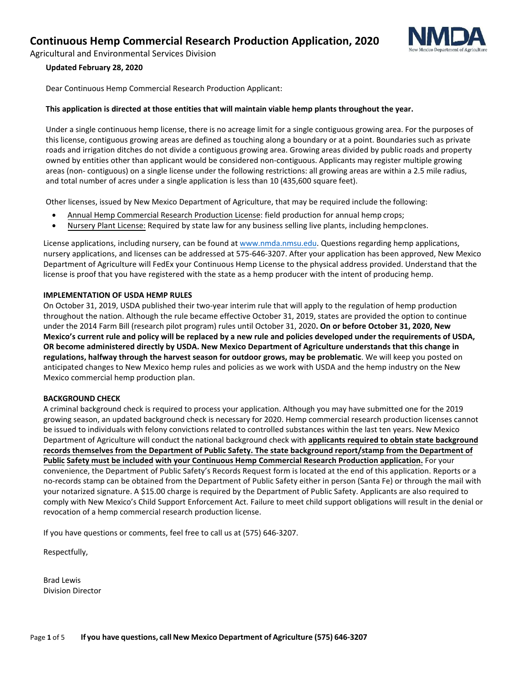

Agricultural and Environmental Services Division

#### **Updated February 28, 2020**

Dear Continuous Hemp Commercial Research Production Applicant:

#### **This application is directed at those entities that will maintain viable hemp plants throughout the year.**

Under a single continuous hemp license, there is no acreage limit for a single contiguous growing area. For the purposes of this license, contiguous growing areas are defined as touching along a boundary or at a point. Boundaries such as private roads and irrigation ditches do not divide a contiguous growing area. Growing areas divided by public roads and property owned by entities other than applicant would be considered non-contiguous. Applicants may register multiple growing areas (non- contiguous) on a single license under the following restrictions: all growing areas are within a 2.5 mile radius, and total number of acres under a single application is less than 10 (435,600 square feet).

Other licenses, issued by New Mexico Department of Agriculture, that may be required include the following:

- Annual Hemp Commercial Research Production License: field production for annual hemp crops;
- Nursery Plant License: Required by state law for any business selling live plants, including hempclones.

License applications, including nursery, can be found at [www.nmda.nmsu.edu.](http://www.nmda.nmsu.edu/) Questions regarding hemp applications, nursery applications, and licenses can be addressed at 575-646-3207. After your application has been approved, New Mexico Department of Agriculture will FedEx your Continuous Hemp License to the physical address provided. Understand that the license is proof that you have registered with the state as a hemp producer with the intent of producing hemp.

#### **IMPLEMENTATION OF USDA HEMP RULES**

On October 31, 2019, USDA published their two-year interim rule that will apply to the regulation of hemp production throughout the nation. Although the rule became effective October 31, 2019, states are provided the option to continue under the 2014 Farm Bill (research pilot program) rules until October 31, 2020**. On or before October 31, 2020, New Mexico's current rule and policy will be replaced by a new rule and policies developed under the requirements of USDA, OR become administered directly by USDA. New Mexico Department of Agriculture understands that this change in regulations, halfway through the harvest season for outdoor grows, may be problematic**. We will keep you posted on anticipated changes to New Mexico hemp rules and policies as we work with USDA and the hemp industry on the New Mexico commercial hemp production plan.

#### **BACKGROUND CHECK**

A criminal background check is required to process your application. Although you may have submitted one for the 2019 growing season, an updated background check is necessary for 2020. Hemp commercial research production licenses cannot be issued to individuals with felony convictions related to controlled substances within the last ten years. New Mexico Department of Agriculture will conduct the national background check with **applicants required to obtain state background records themselves from the Department of Public Safety. The state background report/stamp from the Department of Public Safety must be included with your Continuous Hemp Commercial Research Production application.** For your convenience, the Department of Public Safety's Records Request form is located at the end of this application. Reports or a no-records stamp can be obtained from the Department of Public Safety either in person (Santa Fe) or through the mail with your notarized signature. A \$15.00 charge is required by the Department of Public Safety. Applicants are also required to comply with New Mexico's Child Support Enforcement Act. Failure to meet child support obligations will result in the denial or revocation of a hemp commercial research production license.

If you have questions or comments, feel free to call us at (575) 646-3207.

Respectfully,

Brad Lewis Division Director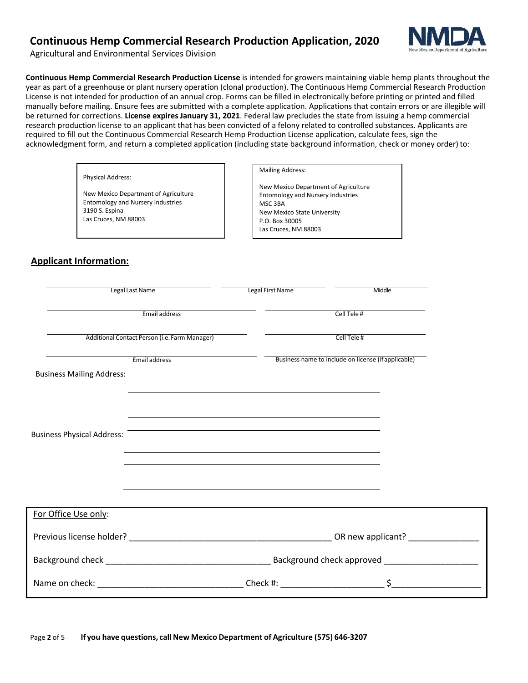

Agricultural and Environmental Services Division

**Continuous Hemp Commercial Research Production License** is intended for growers maintaining viable hemp plants throughout the year as part of a greenhouse or plant nursery operation (clonal production). The Continuous Hemp Commercial Research Production License is not intended for production of an annual crop. Forms can be filled in electronically before printing or printed and filled manually before mailing. Ensure fees are submitted with a complete application. Applications that contain errors or are illegible will be returned for corrections. **License expires January 31, 2021**. Federal law precludes the state from issuing a hemp commercial research production license to an applicant that has been convicted of a felony related to controlled substances. Applicants are required to fill out the Continuous Commercial Research Hemp Production License application, calculate fees, sign the acknowledgment form, and return a completed application (including state background information, check or money order) to:

Physical Address:

New Mexico Department of Agriculture Entomology and Nursery Industries 3190 S. Espina Las Cruces, NM 88003

#### Mailing Address:

New Mexico Department of Agriculture Entomology and Nursery Industries MSC 3BA New Mexico State University P.O. Box 30005 Las Cruces, NM 88003

## **Applicant Information:**

| Legal Last Name                   |                                               | Legal First Name                                                                                                                                                                                                                     | Middle                                              |  |
|-----------------------------------|-----------------------------------------------|--------------------------------------------------------------------------------------------------------------------------------------------------------------------------------------------------------------------------------------|-----------------------------------------------------|--|
|                                   | Email address                                 |                                                                                                                                                                                                                                      | Cell Tele#                                          |  |
|                                   | Additional Contact Person (i.e. Farm Manager) |                                                                                                                                                                                                                                      | Cell Tele#                                          |  |
| <b>Business Mailing Address:</b>  | Email address                                 |                                                                                                                                                                                                                                      | Business name to include on license (if applicable) |  |
|                                   |                                               | the control of the control of the control of the control of the control of the control of the control of the control of the control of the control of the control of the control of the control of the control of the control        |                                                     |  |
|                                   |                                               | and the control of the control of the control of the control of the control of the control of the control of the<br>and the control of the control of the control of the control of the control of the control of the control of the |                                                     |  |
| <b>Business Physical Address:</b> |                                               | <u> 1989 - Johann Stoff, deutscher Stoff, der Stoff, der Stoff, der Stoff, der Stoff, der Stoff, der Stoff, der S</u>                                                                                                                |                                                     |  |
|                                   |                                               | and the control of the control of the control of the control of the control of the control of the control of the                                                                                                                     |                                                     |  |
|                                   |                                               |                                                                                                                                                                                                                                      |                                                     |  |
| For Office Use only:              |                                               |                                                                                                                                                                                                                                      |                                                     |  |
|                                   |                                               |                                                                                                                                                                                                                                      |                                                     |  |
|                                   |                                               |                                                                                                                                                                                                                                      |                                                     |  |
|                                   |                                               |                                                                                                                                                                                                                                      |                                                     |  |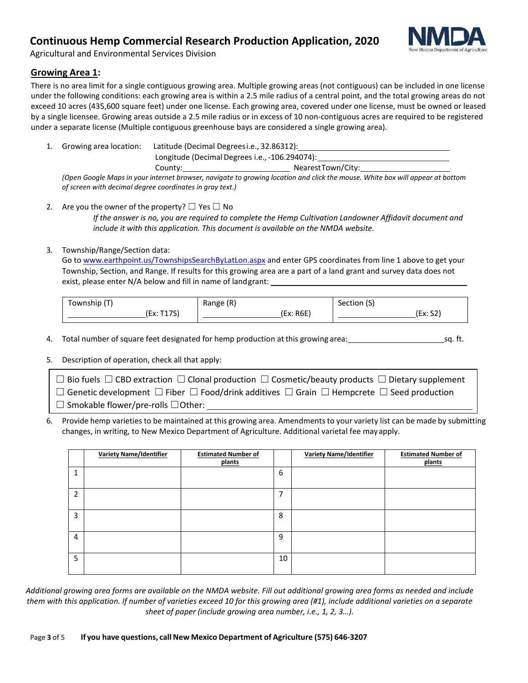

Agricultural and Environmental Services Division

## **Growing Area 1:**

There is no area limit for a single contiguous growing area. Multiple growing areas (not contiguous) can be included in one license under the following conditions: each growing area is within a 2.5 mile radius of a central point, and the total growing areas do not exceed 10 acres (435,600 square feet) under one license. Each growing area, covered under one license, must be owned or leased by a single licensee. Growing areas outside a 2.5 mile radius or in excess of 10 non-contiguous acres are required to be registered under a separate license (Multiple contiguous greenhouse bays are considered a single growing area).

1. Growing area location: Latitude (Decimal Degreesi.e., 32.86312): Longitude (Decimal Degrees i.e., -106.294074):

County: NearestTown/City:

*(Open Google Maps in your internet browser, navigate to growing location and click the mouse. White box will appear at bottom of screen with decimal degree coordinates in gray text.)*

2. Are you the owner of the property?  $\Box$  Yes  $\Box$  No *If the answer is no, you are required to complete the Hemp Cultivation Landowner Affidavit document and include it with this application. This document is available on the NMDA website.*

## 3. Township/Range/Section data:

Go t[o www.earthpoint.us/TownshipsSearchByLatLon.aspx](http://www.earthpoint.us/TownshipsSearchByLatLon.aspx) and enter GPS coordinates from line 1 above to get your Township, Section, and Range. If results for this growing area are a part of a land grant and survey data does not exist, please enter N/A below and fill in name of landgrant:

| (Township                    | Range (R) | $\sqrt{2}$<br>Section (S) |
|------------------------------|-----------|---------------------------|
| 4.7c<br>$-111$<br>(LX. II/J) | (Ex: R6E) | $\sim$<br>- 11<br>, ۲.۵ ک |

4. Total number of square feet designated for hemp production at this growing area: sq. ft.

5. Description of operation, check all that apply:

| $\Box$ Bio fuels $\Box$ CBD extraction $\Box$ Clonal production $\Box$ Cosmetic/beauty products $\Box$ Dietary supplement |
|---------------------------------------------------------------------------------------------------------------------------|
| $\Box$ Genetic development $\Box$ Fiber $\Box$ Food/drink additives $\Box$ Grain $\Box$ Hempcrete $\Box$ Seed production  |
| $\Box$ Smokable flower/pre-rolls $\Box$ Other:                                                                            |

6. Provide hemp varietiesto be maintained at this growing area. Amendments to your variety list can be made by submitting changes, in writing, to New Mexico Department of Agriculture. Additional varietal fee mayapply.

|                | <b>Variety Name/Identifier</b> | <b>Estimated Number of</b><br>plants |    | <b>Variety Name/Identifier</b> | <b>Estimated Number of</b><br>plants |
|----------------|--------------------------------|--------------------------------------|----|--------------------------------|--------------------------------------|
|                |                                |                                      | 6  |                                |                                      |
| $\overline{2}$ |                                |                                      | ⇁  |                                |                                      |
| 3              |                                |                                      | 8  |                                |                                      |
| $\overline{4}$ |                                |                                      | 9  |                                |                                      |
| 5              |                                |                                      | 10 |                                |                                      |

*Additional growing area forms are available on the NMDA website. Fill out additional growing area forms as needed and include them with this application. If number of varieties exceed 10 for this growing area (#1), include additional varieties on a separate sheet of paper (include growing area number, i.e., 1, 2, 3…).*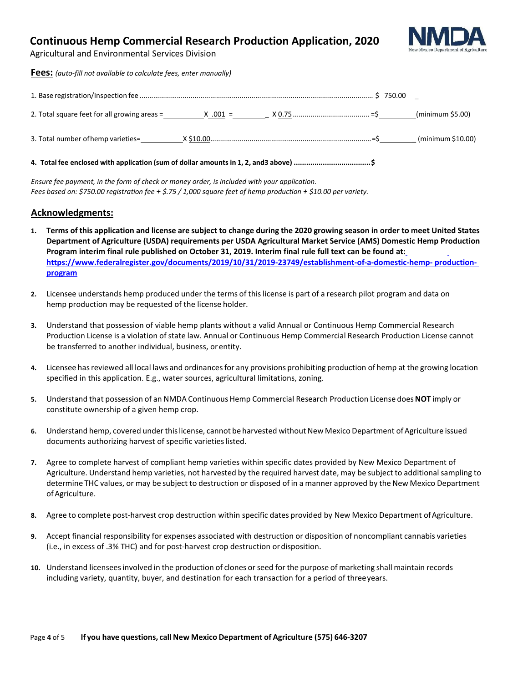

 $\frac{1}{2}$ (minimum \$5.00)

Agricultural and Environmental Services Division

| <b>Fees:</b> (auto-fill not available to calculate fees, enter manually) |  |  |
|--------------------------------------------------------------------------|--|--|
|                                                                          |  |  |
|                                                                          |  |  |

| - -<br>. Total number<br>ornem <sup>,</sup><br>imb varie<br>J. |  |  | $\sim$<br>ur<br>'mı<br>nıı<br>. |
|----------------------------------------------------------------|--|--|---------------------------------|
|----------------------------------------------------------------|--|--|---------------------------------|

**4. Total fee enclosed with application (sum of dollar amounts in 1, 2, and3 above) ..................................... \$** 

*Ensure fee payment, in the form of check or money order, is included with your application. Fees based on: \$750.00 registration fee + \$.75 / 1,000 square feet of hemp production + \$10.00 per variety.*

## **Acknowledgments:**

- 1. Terms of this application and license are subject to change during the 2020 growing season in order to meet United States **Department of Agriculture (USDA) requirements per USDA Agricultural Market Service (AMS) Domestic Hemp Production Program interim final rule published on October 31, 2019. Interim final rule full text can be found at: [https://www.federalregister.gov/documents/2019/10/31/2019-23749/establishment-of-a-domestic-hemp- production](https://www.federalregister.gov/documents/2019/10/31/2019-23749/establishment-of-a-domestic-hemp-production-program)[program](https://www.federalregister.gov/documents/2019/10/31/2019-23749/establishment-of-a-domestic-hemp-production-program)**
- **2.** Licensee understands hemp produced under the terms of thislicense is part of a research pilot program and data on hemp production may be requested of the license holder.
- **3.** Understand that possession of viable hemp plants without a valid Annual or Continuous Hemp Commercial Research Production License is a violation of state law. Annual or Continuous Hemp Commercial Research Production License cannot be transferred to another individual, business, orentity.
- **4.** Licensee hasreviewed all local laws and ordinancesfor any provisions prohibiting production of hemp at the growing location specified in this application. E.g., water sources, agricultural limitations, zoning.
- **5.** Understand that possession of an NMDA Continuous Hemp Commercial Research Production License does**NOT** imply or constitute ownership of a given hemp crop.
- 6. Understand hemp, covered under this license, cannot be harvested without New Mexico Department of Agriculture issued documents authorizing harvest of specific varieties listed.
- **7.** Agree to complete harvest of compliant hemp varieties within specific dates provided by New Mexico Department of Agriculture. Understand hemp varieties, not harvested by the required harvest date, may be subject to additionalsampling to determine THC values, or may be subject to destruction or disposed of in a manner approved by the New Mexico Department of Agriculture.
- 8. Agree to complete post-harvest crop destruction within specific dates provided by New Mexico Department of Agriculture.
- **9.** Accept financial responsibility for expenses associated with destruction or disposition of noncompliant cannabis varieties (i.e., in excess of .3% THC) and for post-harvest crop destruction ordisposition.
- **10.** Understand licenseesinvolved in the production of clones orseed for the purpose of marketing shall maintain records including variety, quantity, buyer, and destination for each transaction for a period of threeyears.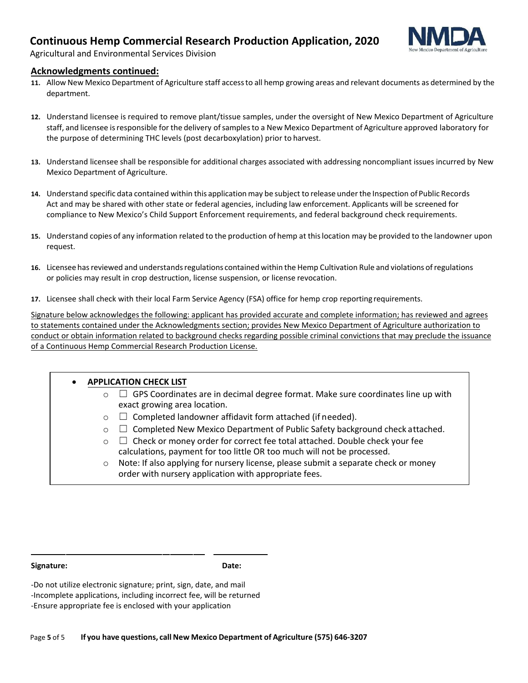

Agricultural and Environmental Services Division

## **Acknowledgments continued:**

- **11.** Allow New Mexico Department of Agriculture staff accessto all hemp growing areas and relevant documents as determined by the department.
- **12.** Understand licensee is required to remove plant/tissue samples, under the oversight of New Mexico Department of Agriculture staff, and licensee isresponsible for the delivery ofsamplesto a New Mexico Department of Agriculture approved laboratory for the purpose of determining THC levels (post decarboxylation) prior to harvest.
- **13.** Understand licensee shall be responsible for additional charges associated with addressing noncompliant issues incurred by New Mexico Department of Agriculture.
- **14.** Understand specific data contained within this application may be subject to release underthe Inspection of Public Records Act and may be shared with other state or federal agencies, including law enforcement. Applicants will be screened for compliance to New Mexico's Child Support Enforcement requirements, and federal background check requirements.
- **15.** Understand copies of any information related to the production of hemp at thislocation may be provided to the landowner upon request.
- **16.** Licensee hasreviewed and understandsregulations contained within the Hemp Cultivation Rule and violations ofregulations or policies may result in crop destruction, license suspension, or license revocation.
- **17.** Licensee shall check with their local Farm Service Agency (FSA) office for hemp crop reporting requirements.

Signature below acknowledges the following: applicant has provided accurate and complete information; has reviewed and agrees to statements contained under the Acknowledgments section; provides New Mexico Department of Agriculture authorization to conduct or obtain information related to background checks regarding possible criminal convictions that may preclude the issuance of a Continuous Hemp Commercial Research Production License.

| <b>APPLICATION CHECK LIST</b> |                                                                                                                                                                                                                                                                                                              |  |  |  |
|-------------------------------|--------------------------------------------------------------------------------------------------------------------------------------------------------------------------------------------------------------------------------------------------------------------------------------------------------------|--|--|--|
| $\circ$                       | $\Box$ GPS Coordinates are in decimal degree format. Make sure coordinates line up with<br>exact growing area location.                                                                                                                                                                                      |  |  |  |
| $\circ$                       | $\Box$ Completed landowner affidavit form attached (if needed).                                                                                                                                                                                                                                              |  |  |  |
| $\circ$                       | $\Box$ Completed New Mexico Department of Public Safety background check attached.                                                                                                                                                                                                                           |  |  |  |
| $\circ$<br>$\circ$            | $\Box$ Check or money order for correct fee total attached. Double check your fee<br>calculations, payment for too little OR too much will not be processed.<br>Note: If also applying for nursery license, please submit a separate check or money<br>order with nursery application with appropriate fees. |  |  |  |

**Signature: Date:**

-Do not utilize electronic signature; print, sign, date, and mail -Incomplete applications, including incorrect fee, will be returned -Ensure appropriate fee is enclosed with your application